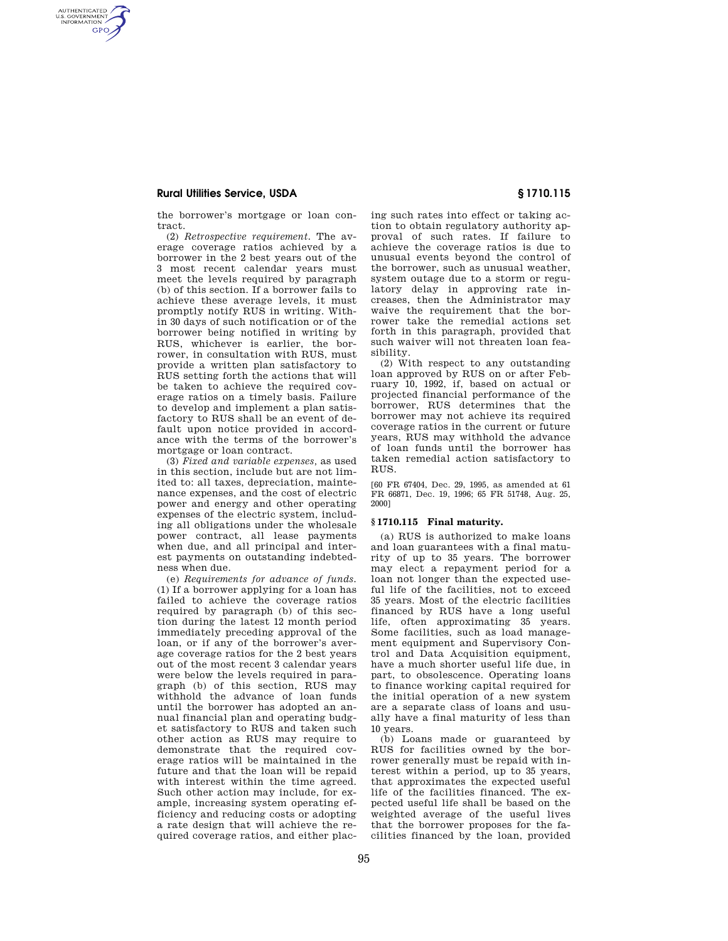# **Rural Utilities Service, USDA § 1710.115**

AUTHENTICATED<br>U.S. GOVERNMENT<br>INFORMATION **GPO** 

> the borrower's mortgage or loan contract.

(2) *Retrospective requirement.* The average coverage ratios achieved by a borrower in the 2 best years out of the 3 most recent calendar years must meet the levels required by paragraph (b) of this section. If a borrower fails to achieve these average levels, it must promptly notify RUS in writing. Within 30 days of such notification or of the borrower being notified in writing by RUS, whichever is earlier, the borrower, in consultation with RUS, must provide a written plan satisfactory to RUS setting forth the actions that will be taken to achieve the required coverage ratios on a timely basis. Failure to develop and implement a plan satisfactory to RUS shall be an event of default upon notice provided in accordance with the terms of the borrower's mortgage or loan contract.

(3) *Fixed and variable expenses,* as used in this section, include but are not limited to: all taxes, depreciation, maintenance expenses, and the cost of electric power and energy and other operating expenses of the electric system, including all obligations under the wholesale power contract, all lease payments when due, and all principal and interest payments on outstanding indebtedness when due.

(e) *Requirements for advance of funds.*  (1) If a borrower applying for a loan has failed to achieve the coverage ratios required by paragraph (b) of this section during the latest 12 month period immediately preceding approval of the loan, or if any of the borrower's average coverage ratios for the 2 best years out of the most recent 3 calendar years were below the levels required in paragraph (b) of this section, RUS may withhold the advance of loan funds until the borrower has adopted an annual financial plan and operating budget satisfactory to RUS and taken such other action as RUS may require to demonstrate that the required coverage ratios will be maintained in the future and that the loan will be repaid with interest within the time agreed. Such other action may include, for example, increasing system operating efficiency and reducing costs or adopting a rate design that will achieve the required coverage ratios, and either placing such rates into effect or taking action to obtain regulatory authority approval of such rates. If failure to achieve the coverage ratios is due to unusual events beyond the control of the borrower, such as unusual weather, system outage due to a storm or regulatory delay in approving rate increases, then the Administrator may waive the requirement that the borrower take the remedial actions set forth in this paragraph, provided that such waiver will not threaten loan feasibility.

(2) With respect to any outstanding loan approved by RUS on or after February 10, 1992, if, based on actual or projected financial performance of the borrower, RUS determines that the borrower may not achieve its required coverage ratios in the current or future years, RUS may withhold the advance of loan funds until the borrower has taken remedial action satisfactory to RUS.

[60 FR 67404, Dec. 29, 1995, as amended at 61 FR 66871, Dec. 19, 1996; 65 FR 51748, Aug. 25, 2000]

# **§ 1710.115 Final maturity.**

(a) RUS is authorized to make loans and loan guarantees with a final maturity of up to 35 years. The borrower may elect a repayment period for a loan not longer than the expected useful life of the facilities, not to exceed 35 years. Most of the electric facilities financed by RUS have a long useful life, often approximating 35 years. Some facilities, such as load management equipment and Supervisory Control and Data Acquisition equipment, have a much shorter useful life due, in part, to obsolescence. Operating loans to finance working capital required for the initial operation of a new system are a separate class of loans and usually have a final maturity of less than 10 years.

(b) Loans made or guaranteed by RUS for facilities owned by the borrower generally must be repaid with interest within a period, up to 35 years, that approximates the expected useful life of the facilities financed. The expected useful life shall be based on the weighted average of the useful lives that the borrower proposes for the facilities financed by the loan, provided